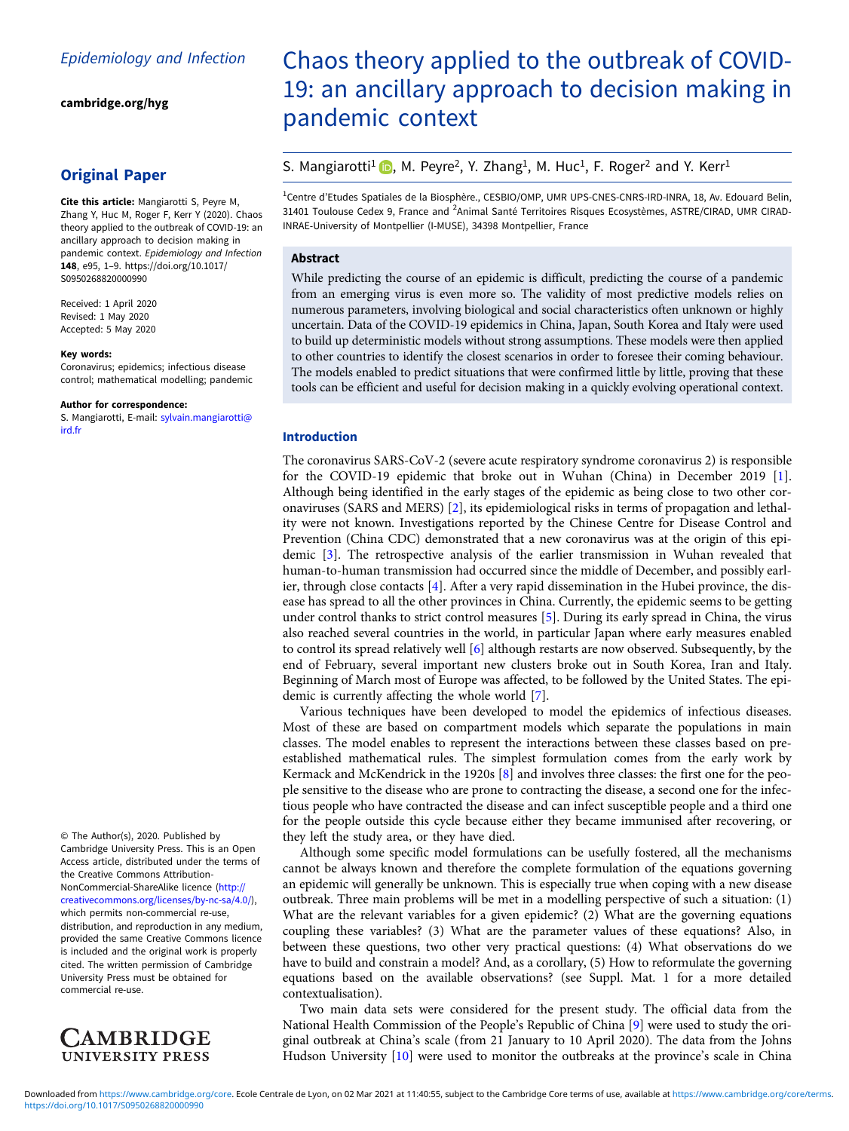[cambridge.org/hyg](https://www.cambridge.org/hyg)

# Original Paper

Cite this article: Mangiarotti S, Peyre M, Zhang Y, Huc M, Roger F, Kerr Y (2020). Chaos theory applied to the outbreak of COVID-19: an ancillary approach to decision making in pandemic context. Epidemiology and Infection 148, e95, 1–9. [https://doi.org/10.1017/](https://doi.org/10.1017/S0950268820000990) [S0950268820000990](https://doi.org/10.1017/S0950268820000990)

Received: 1 April 2020 Revised: 1 May 2020 Accepted: 5 May 2020

#### Key words:

Coronavirus; epidemics; infectious disease control; mathematical modelling; pandemic

#### Author for correspondence:

S. Mangiarotti, E-mail: [sylvain.mangiarotti@](mailto:sylvain.mangiarotti@ird.fr) [ird.fr](mailto:sylvain.mangiarotti@ird.fr)

© The Author(s), 2020. Published by Cambridge University Press. This is an Open Access article, distributed under the terms of the Creative Commons Attribution-NonCommercial-ShareAlike licence [\(http://](http://creativecommons.org/licenses/by-nc-sa/4.0/) [creativecommons.org/licenses/by-nc-sa/4.0/](http://creativecommons.org/licenses/by-nc-sa/4.0/)), which permits non-commercial re-use, distribution, and reproduction in any medium, provided the same Creative Commons licence is included and the original work is properly cited. The written permission of Cambridge University Press must be obtained for commercial re-use.



# Chaos theory applied to the outbreak of COVID-19: an ancillary approach to decision making in pandemic context

## S. Mangiarotti<sup>1</sup>  $\bullet$ , M. Peyre<sup>2</sup>, Y. Zhang<sup>1</sup>, M. Huc<sup>1</sup>, F. Roger<sup>2</sup> and Y. Kerr<sup>1</sup>

<sup>1</sup>Centre d'Etudes Spatiales de la Biosphère., CESBIO/OMP, UMR UPS-CNES-CNRS-IRD-INRA, 18, Av. Edouard Belin, 31401 Toulouse Cedex 9, France and <sup>2</sup>Animal Santé Territoires Risques Ecosystèmes, ASTRE/CIRAD, UMR CIRAD-INRAE-University of Montpellier (I-MUSE), 34398 Montpellier, France

# Abstract

While predicting the course of an epidemic is difficult, predicting the course of a pandemic from an emerging virus is even more so. The validity of most predictive models relies on numerous parameters, involving biological and social characteristics often unknown or highly uncertain. Data of the COVID-19 epidemics in China, Japan, South Korea and Italy were used to build up deterministic models without strong assumptions. These models were then applied to other countries to identify the closest scenarios in order to foresee their coming behaviour. The models enabled to predict situations that were confirmed little by little, proving that these tools can be efficient and useful for decision making in a quickly evolving operational context.

## Introduction

The coronavirus SARS-CoV-2 (severe acute respiratory syndrome coronavirus 2) is responsible for the COVID-19 epidemic that broke out in Wuhan (China) in December 2019 [[1](#page-8-0)]. Although being identified in the early stages of the epidemic as being close to two other coronaviruses (SARS and MERS) [\[2\]](#page-8-0), its epidemiological risks in terms of propagation and lethality were not known. Investigations reported by the Chinese Centre for Disease Control and Prevention (China CDC) demonstrated that a new coronavirus was at the origin of this epidemic [\[3\]](#page-8-0). The retrospective analysis of the earlier transmission in Wuhan revealed that human-to-human transmission had occurred since the middle of December, and possibly earlier, through close contacts [\[4\]](#page-8-0). After a very rapid dissemination in the Hubei province, the disease has spread to all the other provinces in China. Currently, the epidemic seems to be getting under control thanks to strict control measures [[5](#page-8-0)]. During its early spread in China, the virus also reached several countries in the world, in particular Japan where early measures enabled to control its spread relatively well [\[6](#page-8-0)] although restarts are now observed. Subsequently, by the end of February, several important new clusters broke out in South Korea, Iran and Italy. Beginning of March most of Europe was affected, to be followed by the United States. The epidemic is currently affecting the whole world [\[7](#page-8-0)].

Various techniques have been developed to model the epidemics of infectious diseases. Most of these are based on compartment models which separate the populations in main classes. The model enables to represent the interactions between these classes based on preestablished mathematical rules. The simplest formulation comes from the early work by Kermack and McKendrick in the 1920s [[8](#page-8-0)] and involves three classes: the first one for the people sensitive to the disease who are prone to contracting the disease, a second one for the infectious people who have contracted the disease and can infect susceptible people and a third one for the people outside this cycle because either they became immunised after recovering, or they left the study area, or they have died.

Although some specific model formulations can be usefully fostered, all the mechanisms cannot be always known and therefore the complete formulation of the equations governing an epidemic will generally be unknown. This is especially true when coping with a new disease outbreak. Three main problems will be met in a modelling perspective of such a situation: (1) What are the relevant variables for a given epidemic? (2) What are the governing equations coupling these variables? (3) What are the parameter values of these equations? Also, in between these questions, two other very practical questions: (4) What observations do we have to build and constrain a model? And, as a corollary, (5) How to reformulate the governing equations based on the available observations? (see Suppl. Mat. 1 for a more detailed contextualisation).

Two main data sets were considered for the present study. The official data from the National Health Commission of the People's Republic of China [\[9\]](#page-8-0) were used to study the original outbreak at China's scale (from 21 January to 10 April 2020). The data from the Johns Hudson University [[10\]](#page-8-0) were used to monitor the outbreaks at the province's scale in China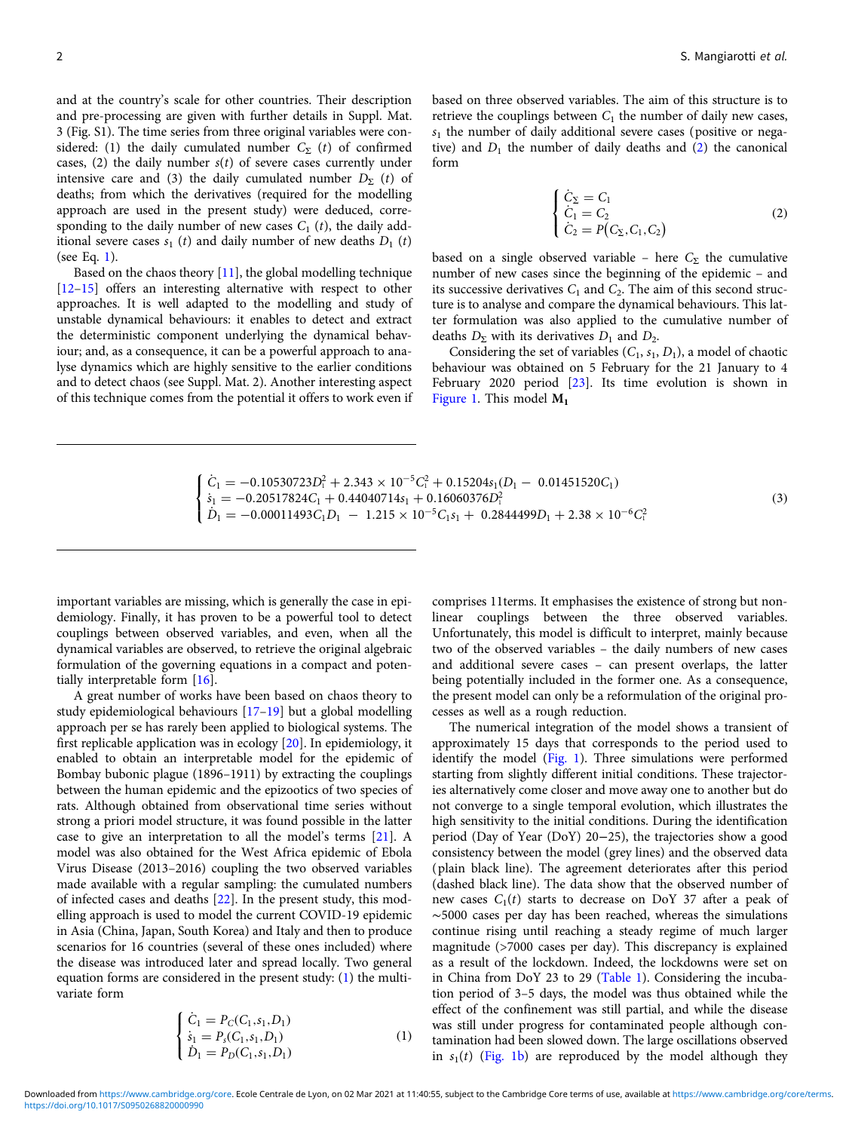(3)

<span id="page-1-0"></span>and at the country's scale for other countries. Their description and pre-processing are given with further details in Suppl. Mat. 3 (Fig. S1). The time series from three original variables were considered: (1) the daily cumulated number  $C_{\Sigma}$  (t) of confirmed cases, (2) the daily number  $s(t)$  of severe cases currently under intensive care and (3) the daily cumulated number  $D_{\Sigma}$  (t) of deaths; from which the derivatives (required for the modelling approach are used in the present study) were deduced, corresponding to the daily number of new cases  $C_1(t)$ , the daily additional severe cases  $s_1$  (t) and daily number of new deaths  $D_1$  (t) (see Eq. 1).

Based on the chaos theory [[11\]](#page-8-0), the global modelling technique [[12](#page-8-0)–[15](#page-8-0)] offers an interesting alternative with respect to other approaches. It is well adapted to the modelling and study of unstable dynamical behaviours: it enables to detect and extract the deterministic component underlying the dynamical behaviour; and, as a consequence, it can be a powerful approach to analyse dynamics which are highly sensitive to the earlier conditions and to detect chaos (see Suppl. Mat. 2). Another interesting aspect of this technique comes from the potential it offers to work even if

based on three observed variables. The aim of this structure is to retrieve the couplings between  $C_1$  the number of daily new cases,  $s<sub>1</sub>$  the number of daily additional severe cases (positive or negative) and  $D_1$  the number of daily deaths and (2) the canonical form

$$
\begin{cases}\n\dot{C}_{\Sigma} = C_1 \\
\dot{C}_1 = C_2 \\
\dot{C}_2 = P(C_{\Sigma}, C_1, C_2)\n\end{cases}
$$
\n(2)

based on a single observed variable – here  $C_{\Sigma}$  the cumulative number of new cases since the beginning of the epidemic – and its successive derivatives  $C_1$  and  $C_2$ . The aim of this second structure is to analyse and compare the dynamical behaviours. This latter formulation was also applied to the cumulative number of deaths  $D_{\Sigma}$  with its derivatives  $D_1$  and  $D_2$ .

Considering the set of variables  $(C_1, s_1, D_1)$ , a model of chaotic behaviour was obtained on 5 February for the 21 January to 4 February 2020 period [[23\]](#page-8-0). Its time evolution is shown in [Figure 1.](#page-2-0) This model  $M_1$ 

$$
\begin{cases}\n\dot{C}_1 = -0.10530723D_1^2 + 2.343 \times 10^{-5}C_1^2 + 0.15204s_1(D_1 - 0.01451520C_1) \\
\dot{s}_1 = -0.20517824C_1 + 0.44040714s_1 + 0.16060376D_1^2 \\
\dot{D}_1 = -0.00011493C_1D_1 - 1.215 \times 10^{-5}C_1s_1 + 0.2844499D_1 + 2.38 \times 10^{-6}C_1^2\n\end{cases}
$$

important variables are missing, which is generally the case in epidemiology. Finally, it has proven to be a powerful tool to detect couplings between observed variables, and even, when all the dynamical variables are observed, to retrieve the original algebraic formulation of the governing equations in a compact and potentially interpretable form [\[16](#page-8-0)].

A great number of works have been based on chaos theory to study epidemiological behaviours [\[17](#page-8-0)–[19](#page-8-0)] but a global modelling approach per se has rarely been applied to biological systems. The first replicable application was in ecology [[20\]](#page-8-0). In epidemiology, it enabled to obtain an interpretable model for the epidemic of Bombay bubonic plague (1896–1911) by extracting the couplings between the human epidemic and the epizootics of two species of rats. Although obtained from observational time series without strong a priori model structure, it was found possible in the latter case to give an interpretation to all the model's terms [[21](#page-8-0)]. A model was also obtained for the West Africa epidemic of Ebola Virus Disease (2013–2016) coupling the two observed variables made available with a regular sampling: the cumulated numbers of infected cases and deaths [[22\]](#page-8-0). In the present study, this modelling approach is used to model the current COVID-19 epidemic in Asia (China, Japan, South Korea) and Italy and then to produce scenarios for 16 countries (several of these ones included) where the disease was introduced later and spread locally. Two general equation forms are considered in the present study: (1) the multivariate form

$$
\begin{cases}\n\dot{C}_1 = P_C(C_1, s_1, D_1) \\
\dot{s}_1 = P_s(C_1, s_1, D_1) \\
\dot{D}_1 = P_D(C_1, s_1, D_1)\n\end{cases} (1)
$$

comprises 11terms. It emphasises the existence of strong but nonlinear couplings between the three observed variables. Unfortunately, this model is difficult to interpret, mainly because two of the observed variables – the daily numbers of new cases and additional severe cases – can present overlaps, the latter being potentially included in the former one. As a consequence, the present model can only be a reformulation of the original processes as well as a rough reduction.

The numerical integration of the model shows a transient of approximately 15 days that corresponds to the period used to identify the model [\(Fig. 1\)](#page-2-0). Three simulations were performed starting from slightly different initial conditions. These trajectories alternatively come closer and move away one to another but do not converge to a single temporal evolution, which illustrates the high sensitivity to the initial conditions. During the identification period (Day of Year (DoY) 20−25), the trajectories show a good consistency between the model (grey lines) and the observed data (plain black line). The agreement deteriorates after this period (dashed black line). The data show that the observed number of new cases  $C_1(t)$  starts to decrease on DoY 37 after a peak of ∼5000 cases per day has been reached, whereas the simulations continue rising until reaching a steady regime of much larger magnitude (>7000 cases per day). This discrepancy is explained as a result of the lockdown. Indeed, the lockdowns were set on in China from DoY 23 to 29 ([Table 1\)](#page-3-0). Considering the incubation period of 3–5 days, the model was thus obtained while the effect of the confinement was still partial, and while the disease was still under progress for contaminated people although contamination had been slowed down. The large oscillations observed in  $s_1(t)$  [\(Fig. 1b\)](#page-2-0) are reproduced by the model although they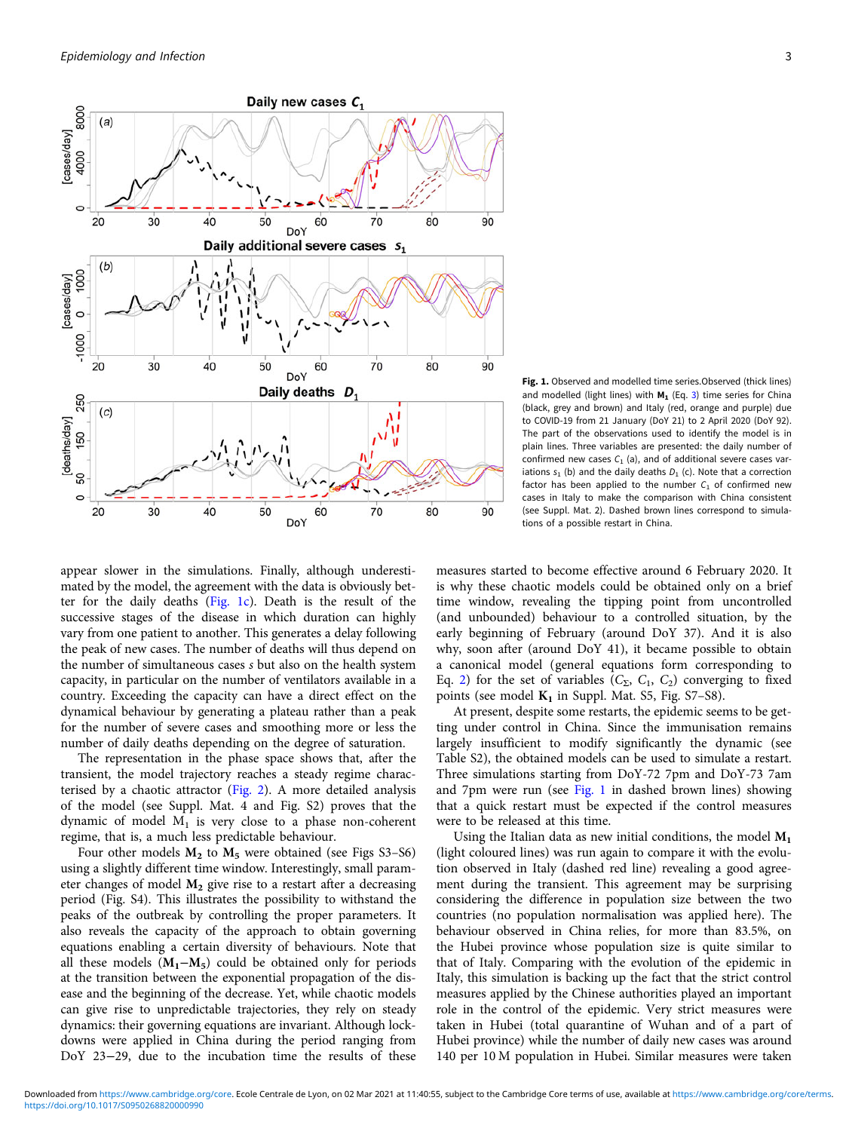<span id="page-2-0"></span>

Fig. 1. Observed and modelled time series Observed (thick lines) and modelled (light lines) with  $M_1$  (Eq. [3\)](#page-1-0) time series for China (black, grey and brown) and Italy (red, orange and purple) due to COVID-19 from 21 January (DoY 21) to 2 April 2020 (DoY 92). The part of the observations used to identify the model is in plain lines. Three variables are presented: the daily number of confirmed new cases  $C_1$  (a), and of additional severe cases variations  $s_1$  (b) and the daily deaths  $D_1$  (c). Note that a correction factor has been applied to the number  $C_1$  of confirmed new cases in Italy to make the comparison with China consistent (see Suppl. Mat. 2). Dashed brown lines correspond to simulations of a possible restart in China.

appear slower in the simulations. Finally, although underestimated by the model, the agreement with the data is obviously better for the daily deaths (Fig. 1c). Death is the result of the successive stages of the disease in which duration can highly vary from one patient to another. This generates a delay following the peak of new cases. The number of deaths will thus depend on the number of simultaneous cases s but also on the health system capacity, in particular on the number of ventilators available in a country. Exceeding the capacity can have a direct effect on the dynamical behaviour by generating a plateau rather than a peak for the number of severe cases and smoothing more or less the number of daily deaths depending on the degree of saturation.

The representation in the phase space shows that, after the transient, the model trajectory reaches a steady regime characterised by a chaotic attractor ([Fig. 2](#page-5-0)). A more detailed analysis of the model (see Suppl. Mat. 4 and Fig. S2) proves that the dynamic of model  $M_1$  is very close to a phase non-coherent regime, that is, a much less predictable behaviour.

Four other models  $M_2$  to  $M_5$  were obtained (see Figs S3–S6) using a slightly different time window. Interestingly, small parameter changes of model  $M_2$  give rise to a restart after a decreasing period (Fig. S4). This illustrates the possibility to withstand the peaks of the outbreak by controlling the proper parameters. It also reveals the capacity of the approach to obtain governing equations enabling a certain diversity of behaviours. Note that all these models  $(M_1-M_5)$  could be obtained only for periods at the transition between the exponential propagation of the disease and the beginning of the decrease. Yet, while chaotic models can give rise to unpredictable trajectories, they rely on steady dynamics: their governing equations are invariant. Although lockdowns were applied in China during the period ranging from DoY 23−29, due to the incubation time the results of these

measures started to become effective around 6 February 2020. It is why these chaotic models could be obtained only on a brief time window, revealing the tipping point from uncontrolled (and unbounded) behaviour to a controlled situation, by the early beginning of February (around DoY 37). And it is also why, soon after (around DoY 41), it became possible to obtain a canonical model (general equations form corresponding to Eq. [2\)](#page-1-0) for the set of variables ( $C_{\Sigma}$ ,  $C_1$ ,  $C_2$ ) converging to fixed points (see model  $K_1$  in Suppl. Mat. S5, Fig. S7-S8).

At present, despite some restarts, the epidemic seems to be getting under control in China. Since the immunisation remains largely insufficient to modify significantly the dynamic (see Table S2), the obtained models can be used to simulate a restart. Three simulations starting from DoY-72 7pm and DoY-73 7am and 7pm were run (see Fig. 1 in dashed brown lines) showing that a quick restart must be expected if the control measures were to be released at this time.

Using the Italian data as new initial conditions, the model  $M_1$ (light coloured lines) was run again to compare it with the evolution observed in Italy (dashed red line) revealing a good agreement during the transient. This agreement may be surprising considering the difference in population size between the two countries (no population normalisation was applied here). The behaviour observed in China relies, for more than 83.5%, on the Hubei province whose population size is quite similar to that of Italy. Comparing with the evolution of the epidemic in Italy, this simulation is backing up the fact that the strict control measures applied by the Chinese authorities played an important role in the control of the epidemic. Very strict measures were taken in Hubei (total quarantine of Wuhan and of a part of Hubei province) while the number of daily new cases was around 140 per 10 M population in Hubei. Similar measures were taken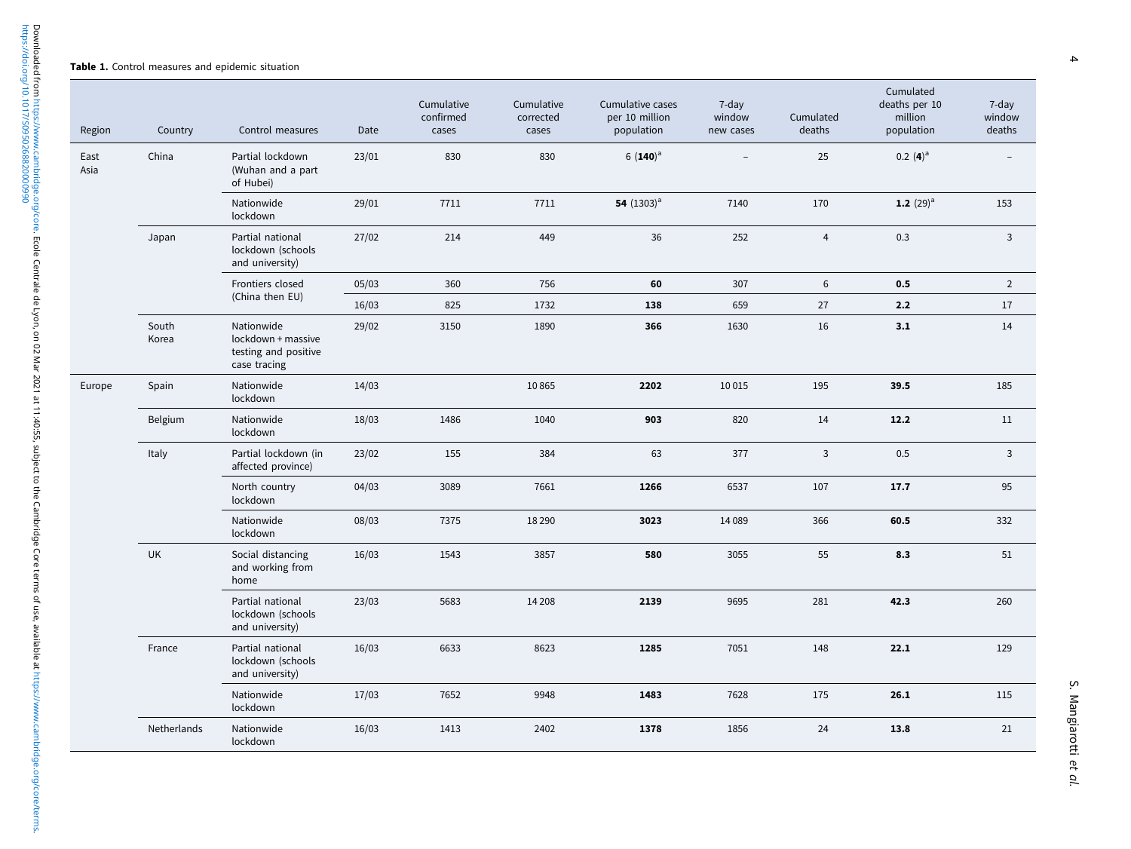| Region       | Country        | Control measures                                                         | Date  | Cumulative<br>confirmed<br>cases | Cumulative<br>corrected<br>cases | Cumulative cases<br>per 10 million<br>population | 7-day<br>window<br>new cases | Cumulated<br>deaths | Cumulated<br>deaths per 10<br>million<br>population | 7-day<br>window<br>deaths |
|--------------|----------------|--------------------------------------------------------------------------|-------|----------------------------------|----------------------------------|--------------------------------------------------|------------------------------|---------------------|-----------------------------------------------------|---------------------------|
| East<br>Asia | China          | Partial lockdown<br>(Wuhan and a part<br>of Hubei)                       | 23/01 | 830                              | 830                              | 6 $(140)^a$                                      | $\overline{\phantom{a}}$     | 25                  | $0.2~(4)^a$                                         |                           |
|              |                | Nationwide<br>lockdown                                                   | 29/01 | 7711                             | 7711                             | 54 $(1303)^a$                                    | 7140                         | 170                 | 1.2 $(29)^a$                                        | 153                       |
|              | Japan          | Partial national<br>lockdown (schools<br>and university)                 | 27/02 | 214                              | 449                              | 36                                               | 252                          | $\overline{4}$      | 0.3                                                 | $\overline{3}$            |
|              |                | Frontiers closed<br>(China then EU)                                      | 05/03 | 360                              | 756                              | 60                                               | 307                          | $6\phantom{.}6$     | 0.5                                                 | $\overline{2}$            |
|              |                |                                                                          | 16/03 | 825                              | 1732                             | 138                                              | 659                          | 27                  | 2.2                                                 | 17                        |
|              | South<br>Korea | Nationwide<br>lockdown + massive<br>testing and positive<br>case tracing | 29/02 | 3150                             | 1890                             | 366                                              | 1630                         | 16                  | 3.1                                                 | 14                        |
| Europe       | Spain          | Nationwide<br>lockdown                                                   | 14/03 |                                  | 10865                            | 2202                                             | 10 0 15                      | 195                 | 39.5                                                | 185                       |
|              | Belgium        | Nationwide<br>lockdown                                                   | 18/03 | 1486                             | 1040                             | 903                                              | 820                          | 14                  | 12.2                                                | 11                        |
|              | Italy          | Partial lockdown (in<br>affected province)                               | 23/02 | 155                              | 384                              | 63                                               | 377                          | $\overline{3}$      | 0.5                                                 | $\overline{3}$            |
|              |                | North country<br>lockdown                                                | 04/03 | 3089                             | 7661                             | 1266                                             | 6537                         | 107                 | 17.7                                                | 95                        |
|              |                | Nationwide<br>lockdown                                                   | 08/03 | 7375                             | 18 2 9 0                         | 3023                                             | 14089                        | 366                 | 60.5                                                | 332                       |
|              | UK             | Social distancing<br>and working from<br>home                            | 16/03 | 1543                             | 3857                             | 580                                              | 3055                         | 55                  | 8.3                                                 | 51                        |
|              |                | Partial national<br>lockdown (schools<br>and university)                 | 23/03 | 5683                             | 14 20 8                          | 2139                                             | 9695                         | 281                 | 42.3                                                | 260                       |
|              | France         | Partial national<br>lockdown (schools<br>and university)                 | 16/03 | 6633                             | 8623                             | 1285                                             | 7051                         | 148                 | 22.1                                                | 129                       |
|              |                | Nationwide<br>lockdown                                                   | 17/03 | 7652                             | 9948                             | 1483                                             | 7628                         | 175                 | 26.1                                                | 115                       |
|              | Netherlands    | Nationwide<br>lockdown                                                   | 16/03 | 1413                             | 2402                             | 1378                                             | 1856                         | 24                  | 13.8                                                | 21                        |

<span id="page-3-0"></span><https://doi.org/10.1017/S0950268820000990>

S. Mangiarotti S. Mangiarotti et al.

4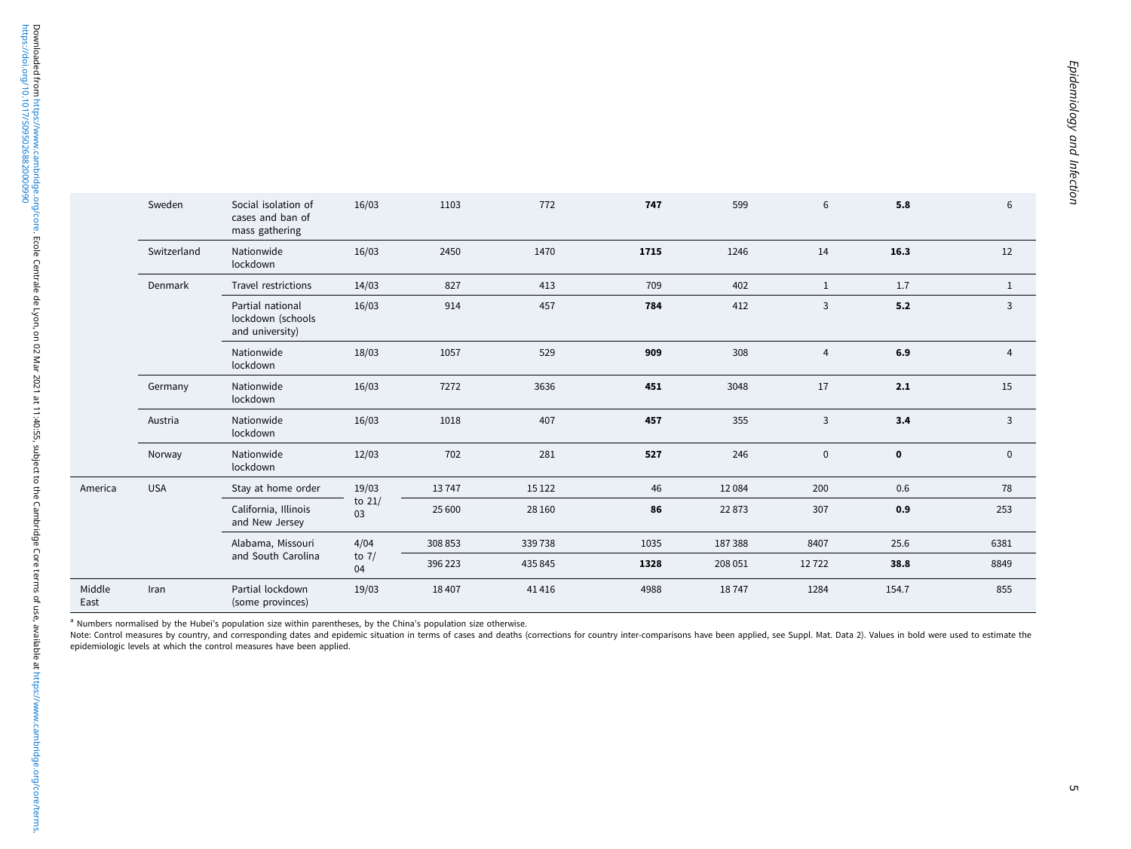|                | Sweden      | Social isolation of<br>cases and ban of<br>mass gathering | 16/03          | 1103    | 772     | 747  | 599     | 6              | 5.8         | 6              |
|----------------|-------------|-----------------------------------------------------------|----------------|---------|---------|------|---------|----------------|-------------|----------------|
|                | Switzerland | Nationwide<br>lockdown                                    | 16/03          | 2450    | 1470    | 1715 | 1246    | 14             | 16.3        | 12             |
|                | Denmark     | Travel restrictions                                       | 14/03          | 827     | 413     | 709  | 402     | 1              | 1.7         | $\mathbf{1}$   |
|                |             | Partial national<br>lockdown (schools<br>and university)  | 16/03          | 914     | 457     | 784  | 412     | 3              | 5.2         | 3              |
|                |             | Nationwide<br>lockdown                                    | 18/03          | 1057    | 529     | 909  | 308     | $\overline{4}$ | 6.9         | 4              |
|                | Germany     | Nationwide<br>lockdown                                    | 16/03          | 7272    | 3636    | 451  | 3048    | 17             | 2.1         | 15             |
|                | Austria     | Nationwide<br>lockdown                                    | 16/03          | 1018    | 407     | 457  | 355     | 3              | 3.4         | $\overline{3}$ |
|                | Norway      | Nationwide<br>lockdown                                    | 12/03          | 702     | 281     | 527  | 246     | $\mathbf 0$    | $\mathbf 0$ | $\mathbf 0$    |
| America        | <b>USA</b>  | Stay at home order                                        | 19/03          | 13747   | 15 1 22 | 46   | 12084   | 200            | 0.6         | 78             |
|                |             | California, Illinois<br>and New Jersey                    | to $21/$<br>03 | 25 600  | 28 160  | 86   | 22873   | 307            | 0.9         | 253            |
|                |             | Alabama, Missouri<br>and South Carolina                   | 4/04           | 308 853 | 339738  | 1035 | 187388  | 8407           | 25.6        | 6381           |
|                |             |                                                           | to $7/$<br>04  | 396 223 | 435 845 | 1328 | 208 051 | 12722          | 38.8        | 8849           |
| Middle<br>East | Iran        | Partial lockdown<br>(some provinces)                      | 19/03          | 18 407  | 41416   | 4988 | 18747   | 1284           | 154.7       | 855            |

<sup>a</sup> Numbers normalised by the Hubei's population size within parentheses, by the China's population size otherwise.

Note: Control measures by country, and corresponding dates and epidemic situation in terms of cases and deaths (corrections for country inter-comparisons have been applied, see Suppl. Mat. Data 2). Values in bold were used epidemiologic levels at which the control measures have been applied.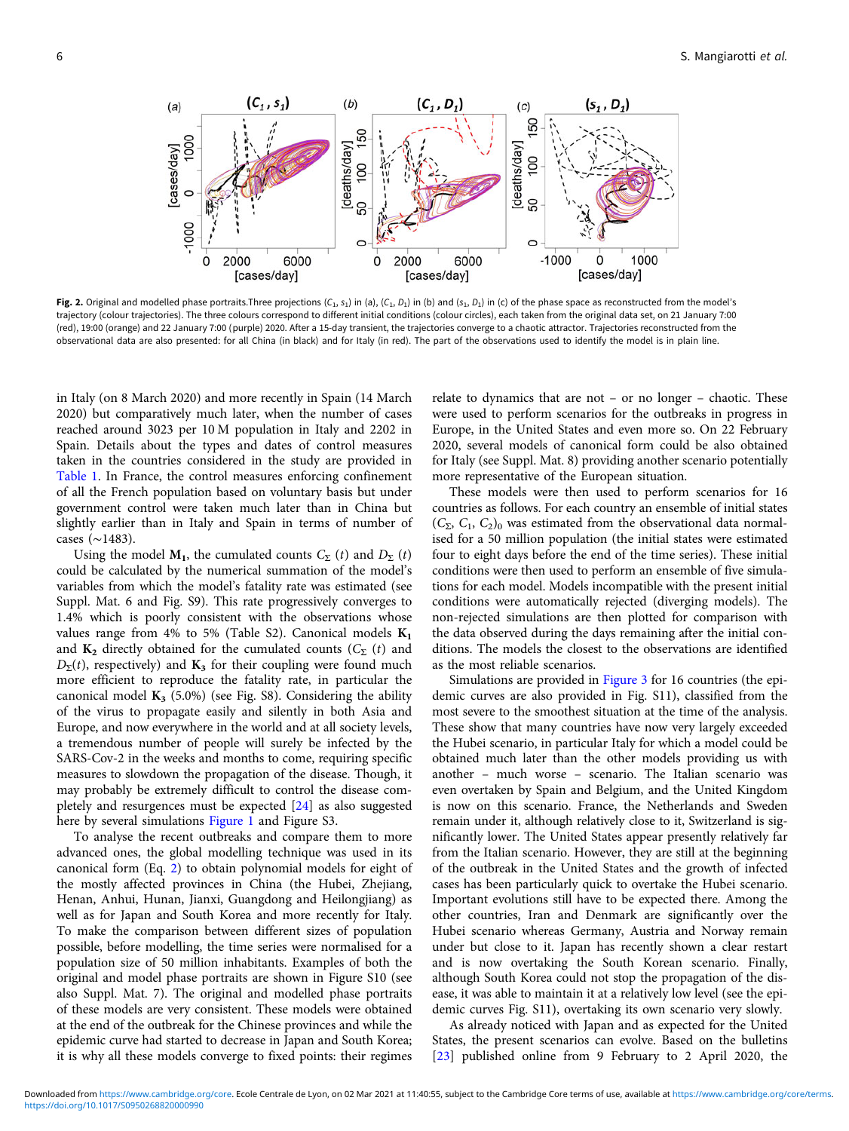<span id="page-5-0"></span>

Fig. 2. Original and modelled phase portraits.Three projections  $(C_1, s_1)$  in (a),  $(C_1, D_1)$  in (b) and  $(s_1, D_1)$  in (c) of the phase space as reconstructed from the model's trajectory (colour trajectories). The three colours correspond to different initial conditions (colour circles), each taken from the original data set, on 21 January 7:00 (red), 19:00 (orange) and 22 January 7:00 (purple) 2020. After a 15-day transient, the trajectories converge to a chaotic attractor. Trajectories reconstructed from the observational data are also presented: for all China (in black) and for Italy (in red). The part of the observations used to identify the model is in plain line.

in Italy (on 8 March 2020) and more recently in Spain (14 March 2020) but comparatively much later, when the number of cases reached around 3023 per 10 M population in Italy and 2202 in Spain. Details about the types and dates of control measures taken in the countries considered in the study are provided in [Table 1.](#page-3-0) In France, the control measures enforcing confinement of all the French population based on voluntary basis but under government control were taken much later than in China but slightly earlier than in Italy and Spain in terms of number of cases (∼1483).

Using the model  $M_1$ , the cumulated counts  $C_{\Sigma}$  (t) and  $D_{\Sigma}$  (t) could be calculated by the numerical summation of the model's variables from which the model's fatality rate was estimated (see Suppl. Mat. 6 and Fig. S9). This rate progressively converges to 1.4% which is poorly consistent with the observations whose values range from 4% to 5% (Table S2). Canonical models  $K_1$ and  $K_2$  directly obtained for the cumulated counts ( $C_2$  (t) and  $D_{\Sigma}(t)$ , respectively) and  $\mathbf{K}_{3}$  for their coupling were found much more efficient to reproduce the fatality rate, in particular the canonical model  $K_3$  (5.0%) (see Fig. S8). Considering the ability of the virus to propagate easily and silently in both Asia and Europe, and now everywhere in the world and at all society levels, a tremendous number of people will surely be infected by the SARS-Cov-2 in the weeks and months to come, requiring specific measures to slowdown the propagation of the disease. Though, it may probably be extremely difficult to control the disease completely and resurgences must be expected [[24\]](#page-8-0) as also suggested here by several simulations [Figure 1](#page-2-0) and Figure S3.

To analyse the recent outbreaks and compare them to more advanced ones, the global modelling technique was used in its canonical form (Eq. [2](#page-1-0)) to obtain polynomial models for eight of the mostly affected provinces in China (the Hubei, Zhejiang, Henan, Anhui, Hunan, Jianxi, Guangdong and Heilongjiang) as well as for Japan and South Korea and more recently for Italy. To make the comparison between different sizes of population possible, before modelling, the time series were normalised for a population size of 50 million inhabitants. Examples of both the original and model phase portraits are shown in Figure S10 (see also Suppl. Mat. 7). The original and modelled phase portraits of these models are very consistent. These models were obtained at the end of the outbreak for the Chinese provinces and while the epidemic curve had started to decrease in Japan and South Korea; it is why all these models converge to fixed points: their regimes

relate to dynamics that are not – or no longer – chaotic. These were used to perform scenarios for the outbreaks in progress in Europe, in the United States and even more so. On 22 February 2020, several models of canonical form could be also obtained for Italy (see Suppl. Mat. 8) providing another scenario potentially more representative of the European situation.

These models were then used to perform scenarios for 16 countries as follows. For each country an ensemble of initial states  $(C_5, C_1, C_2)$ <sub>0</sub> was estimated from the observational data normalised for a 50 million population (the initial states were estimated four to eight days before the end of the time series). These initial conditions were then used to perform an ensemble of five simulations for each model. Models incompatible with the present initial conditions were automatically rejected (diverging models). The non-rejected simulations are then plotted for comparison with the data observed during the days remaining after the initial conditions. The models the closest to the observations are identified as the most reliable scenarios.

Simulations are provided in [Figure 3](#page-6-0) for 16 countries (the epidemic curves are also provided in Fig. S11), classified from the most severe to the smoothest situation at the time of the analysis. These show that many countries have now very largely exceeded the Hubei scenario, in particular Italy for which a model could be obtained much later than the other models providing us with another – much worse – scenario. The Italian scenario was even overtaken by Spain and Belgium, and the United Kingdom is now on this scenario. France, the Netherlands and Sweden remain under it, although relatively close to it, Switzerland is significantly lower. The United States appear presently relatively far from the Italian scenario. However, they are still at the beginning of the outbreak in the United States and the growth of infected cases has been particularly quick to overtake the Hubei scenario. Important evolutions still have to be expected there. Among the other countries, Iran and Denmark are significantly over the Hubei scenario whereas Germany, Austria and Norway remain under but close to it. Japan has recently shown a clear restart and is now overtaking the South Korean scenario. Finally, although South Korea could not stop the propagation of the disease, it was able to maintain it at a relatively low level (see the epidemic curves Fig. S11), overtaking its own scenario very slowly.

As already noticed with Japan and as expected for the United States, the present scenarios can evolve. Based on the bulletins [[23\]](#page-8-0) published online from 9 February to 2 April 2020, the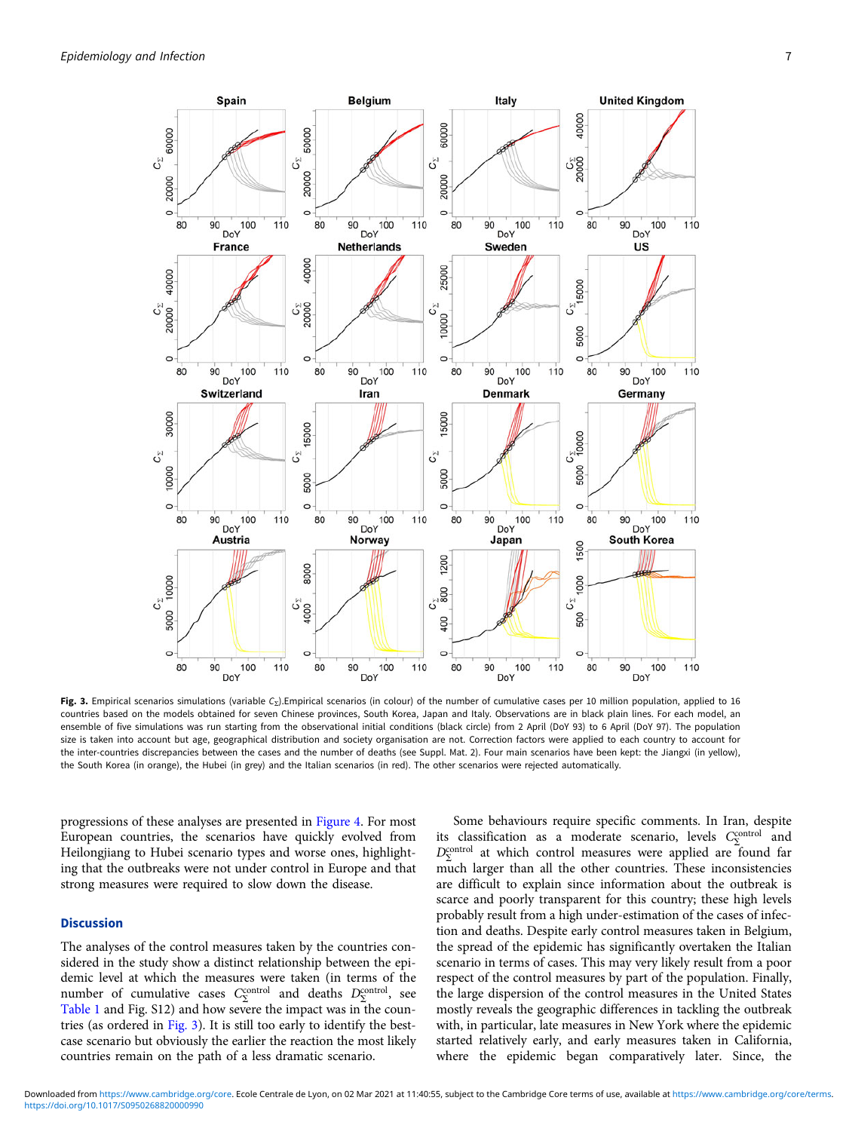<span id="page-6-0"></span>

Fig. 3. Empirical scenarios simulations (variable C<sub>x</sub>).Empirical scenarios (in colour) of the number of cumulative cases per 10 million population, applied to 16 countries based on the models obtained for seven Chinese provinces, South Korea, Japan and Italy. Observations are in black plain lines. For each model, an ensemble of five simulations was run starting from the observational initial conditions (black circle) from 2 April (DoY 93) to 6 April (DoY 97). The population size is taken into account but age, geographical distribution and society organisation are not. Correction factors were applied to each country to account for the inter-countries discrepancies between the cases and the number of deaths (see Suppl. Mat. 2). Four main scenarios have been kept: the Jiangxi (in yellow), the South Korea (in orange), the Hubei (in grey) and the Italian scenarios (in red). The other scenarios were rejected automatically.

progressions of these analyses are presented in [Figure 4.](#page-7-0) For most European countries, the scenarios have quickly evolved from Heilongjiang to Hubei scenario types and worse ones, highlighting that the outbreaks were not under control in Europe and that strong measures were required to slow down the disease.

## Discussion

The analyses of the control measures taken by the countries considered in the study show a distinct relationship between the epidemic level at which the measures were taken (in terms of the number of cumulative cases  $C_{\Sigma}^{\rm control}$  and deaths  $D_{\Sigma}^{\rm control}$ , see [Table 1](#page-3-0) and Fig. S12) and how severe the impact was in the countries (as ordered in Fig. 3). It is still too early to identify the bestcase scenario but obviously the earlier the reaction the most likely countries remain on the path of a less dramatic scenario.

Some behaviours require specific comments. In Iran, despite its classification as a moderate scenario, levels  $C_{\Sigma}^{\text{control}}$  and  $D_{\Sigma}^{\text{control}}$  at which control measures were applied are found far much larger than all the other countries. These inconsistencies are difficult to explain since information about the outbreak is scarce and poorly transparent for this country; these high levels probably result from a high under-estimation of the cases of infection and deaths. Despite early control measures taken in Belgium, the spread of the epidemic has significantly overtaken the Italian scenario in terms of cases. This may very likely result from a poor respect of the control measures by part of the population. Finally, the large dispersion of the control measures in the United States mostly reveals the geographic differences in tackling the outbreak with, in particular, late measures in New York where the epidemic started relatively early, and early measures taken in California, where the epidemic began comparatively later. Since, the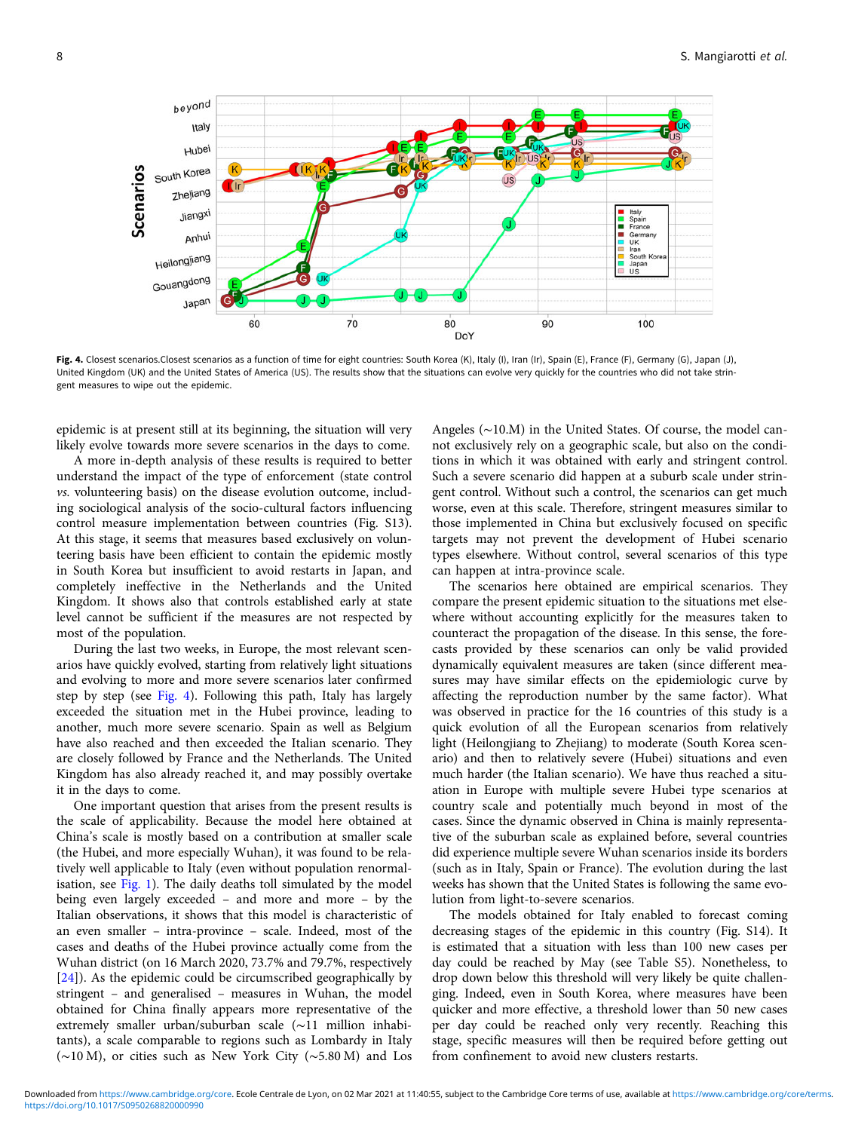<span id="page-7-0"></span>beyond Italy Hubei South Korea Scenarios US **T** Zhejiang Jiangxi Spain<br>Spain<br>France<br>German<br>UK<br>South K<br>Japan<br>US Anhui Heilongjiang Gouangdong .lapan  $60$ 70 80  $90$ 100 DoY

Fig. 4. Closest scenarios.Closest scenarios as a function of time for eight countries: South Korea (K), Italy (I), Iran (Ir), Spain (E), France (F), Germany (G), Japan (J), United Kingdom (UK) and the United States of America (US). The results show that the situations can evolve very quickly for the countries who did not take stringent measures to wipe out the epidemic.

epidemic is at present still at its beginning, the situation will very likely evolve towards more severe scenarios in the days to come.

A more in-depth analysis of these results is required to better understand the impact of the type of enforcement (state control vs. volunteering basis) on the disease evolution outcome, including sociological analysis of the socio-cultural factors influencing control measure implementation between countries (Fig. S13). At this stage, it seems that measures based exclusively on volunteering basis have been efficient to contain the epidemic mostly in South Korea but insufficient to avoid restarts in Japan, and completely ineffective in the Netherlands and the United Kingdom. It shows also that controls established early at state level cannot be sufficient if the measures are not respected by most of the population.

During the last two weeks, in Europe, the most relevant scenarios have quickly evolved, starting from relatively light situations and evolving to more and more severe scenarios later confirmed step by step (see Fig. 4). Following this path, Italy has largely exceeded the situation met in the Hubei province, leading to another, much more severe scenario. Spain as well as Belgium have also reached and then exceeded the Italian scenario. They are closely followed by France and the Netherlands. The United Kingdom has also already reached it, and may possibly overtake it in the days to come.

One important question that arises from the present results is the scale of applicability. Because the model here obtained at China's scale is mostly based on a contribution at smaller scale (the Hubei, and more especially Wuhan), it was found to be relatively well applicable to Italy (even without population renormalisation, see [Fig. 1\)](#page-2-0). The daily deaths toll simulated by the model being even largely exceeded – and more and more – by the Italian observations, it shows that this model is characteristic of an even smaller – intra-province – scale. Indeed, most of the cases and deaths of the Hubei province actually come from the Wuhan district (on 16 March 2020, 73.7% and 79.7%, respectively [[24](#page-8-0)]). As the epidemic could be circumscribed geographically by stringent – and generalised – measures in Wuhan, the model obtained for China finally appears more representative of the extremely smaller urban/suburban scale (∼11 million inhabitants), a scale comparable to regions such as Lombardy in Italy (∼10 M), or cities such as New York City (∼5.80 M) and Los

Angeles (∼10.M) in the United States. Of course, the model cannot exclusively rely on a geographic scale, but also on the conditions in which it was obtained with early and stringent control. Such a severe scenario did happen at a suburb scale under stringent control. Without such a control, the scenarios can get much worse, even at this scale. Therefore, stringent measures similar to those implemented in China but exclusively focused on specific targets may not prevent the development of Hubei scenario types elsewhere. Without control, several scenarios of this type can happen at intra-province scale.

The scenarios here obtained are empirical scenarios. They compare the present epidemic situation to the situations met elsewhere without accounting explicitly for the measures taken to counteract the propagation of the disease. In this sense, the forecasts provided by these scenarios can only be valid provided dynamically equivalent measures are taken (since different measures may have similar effects on the epidemiologic curve by affecting the reproduction number by the same factor). What was observed in practice for the 16 countries of this study is a quick evolution of all the European scenarios from relatively light (Heilongjiang to Zhejiang) to moderate (South Korea scenario) and then to relatively severe (Hubei) situations and even much harder (the Italian scenario). We have thus reached a situation in Europe with multiple severe Hubei type scenarios at country scale and potentially much beyond in most of the cases. Since the dynamic observed in China is mainly representative of the suburban scale as explained before, several countries did experience multiple severe Wuhan scenarios inside its borders (such as in Italy, Spain or France). The evolution during the last weeks has shown that the United States is following the same evolution from light-to-severe scenarios.

The models obtained for Italy enabled to forecast coming decreasing stages of the epidemic in this country (Fig. S14). It is estimated that a situation with less than 100 new cases per day could be reached by May (see Table S5). Nonetheless, to drop down below this threshold will very likely be quite challenging. Indeed, even in South Korea, where measures have been quicker and more effective, a threshold lower than 50 new cases per day could be reached only very recently. Reaching this stage, specific measures will then be required before getting out from confinement to avoid new clusters restarts.